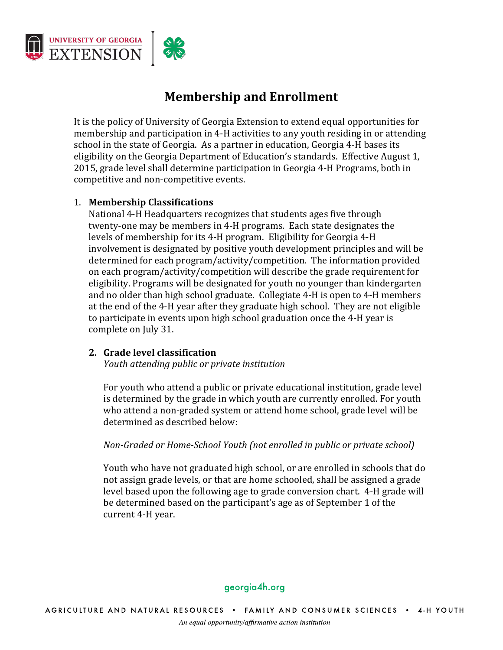

# **Membership and Enrollment**

It is the policy of University of Georgia Extension to extend equal opportunities for membership and participation in 4-H activities to any youth residing in or attending school in the state of Georgia. As a partner in education, Georgia 4-H bases its eligibility on the Georgia Department of Education's standards. Effective August 1, 2015, grade level shall determine participation in Georgia 4-H Programs, both in competitive and non-competitive events.

## 1. **Membership Classifications**

National 4-H Headquarters recognizes that students ages five through twenty-one may be members in 4-H programs. Each state designates the levels of membership for its 4-H program. Eligibility for Georgia 4-H involvement is designated by positive youth development principles and will be determined for each program/activity/competition. The information provided on each program/activity/competition will describe the grade requirement for eligibility. Programs will be designated for youth no younger than kindergarten and no older than high school graduate. Collegiate 4-H is open to 4-H members at the end of the 4-H year after they graduate high school. They are not eligible to participate in events upon high school graduation once the 4-H year is complete on July 31.

### **2. Grade level classification**

*Youth attending public or private institution*

For youth who attend a public or private educational institution, grade level is determined by the grade in which youth are currently enrolled. For youth who attend a non-graded system or attend home school, grade level will be determined as described below:

### *Non-Graded or Home-School Youth (not enrolled in public or private school)*

Youth who have not graduated high school, or are enrolled in schools that do not assign grade levels, or that are home schooled, shall be assigned a grade level based upon the following age to grade conversion chart. 4-H grade will be determined based on the participant's age as of September 1 of the current 4-H year.

### georgia4h.org